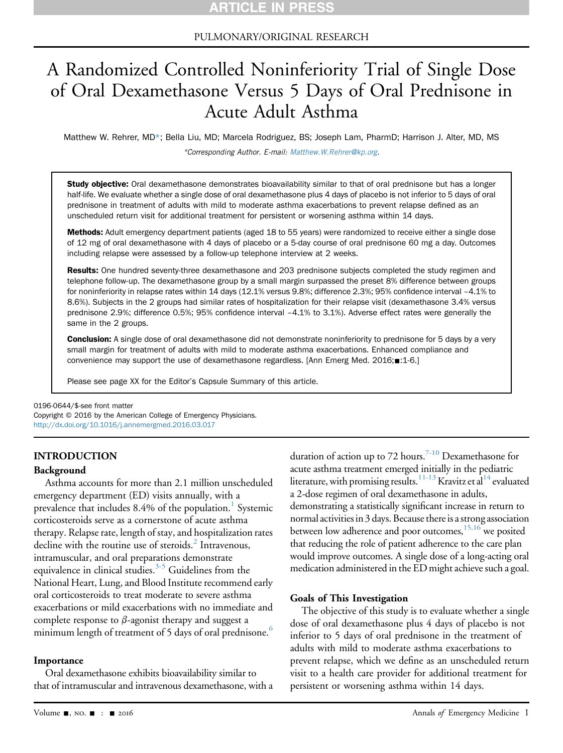## PULMONARY/ORIGINAL RESEARCH

# A Randomized Controlled Noninferiority Trial of Single Dose of Oral Dexamethasone Versus 5 Days of Oral Prednisone in Acute Adult Asthma

Matthew W. Rehrer, MD\*; Bella Liu, MD; Marcela Rodriguez, BS; Joseph Lam, PharmD; Harrison J. Alter, MD, MS \*Corresponding Author. E-mail: [Matthew.W.Rehrer@kp.org](mailto:Matthew.W.Rehrer@kp.org).

Study objective: Oral dexamethasone demonstrates bioavailability similar to that of oral prednisone but has a longer half-life. We evaluate whether a single dose of oral dexamethasone plus 4 days of placebo is not inferior to 5 days of oral prednisone in treatment of adults with mild to moderate asthma exacerbations to prevent relapse defined as an unscheduled return visit for additional treatment for persistent or worsening asthma within 14 days.

Methods: Adult emergency department patients (aged 18 to 55 years) were randomized to receive either a single dose of 12 mg of oral dexamethasone with 4 days of placebo or a 5-day course of oral prednisone 60 mg a day. Outcomes including relapse were assessed by a follow-up telephone interview at 2 weeks.

Results: One hundred seventy-three dexamethasone and 203 prednisone subjects completed the study regimen and telephone follow-up. The dexamethasone group by a small margin surpassed the preset 8% difference between groups for noninferiority in relapse rates within 14 days (12.1% versus 9.8%; difference 2.3%; 95% confidence interval –4.1% to 8.6%). Subjects in the 2 groups had similar rates of hospitalization for their relapse visit (dexamethasone 3.4% versus prednisone 2.9%; difference 0.5%; 95% confidence interval –4.1% to 3.1%). Adverse effect rates were generally the same in the 2 groups.

Conclusion: A single dose of oral dexamethasone did not demonstrate noninferiority to prednisone for 5 days by a very small margin for treatment of adults with mild to moderate asthma exacerbations. Enhanced compliance and convenience may support the use of dexamethasone regardless. [Ann Emerg Med. 2016; 1-6.]

Please see page XX for the Editor's Capsule Summary of this article.

0196-0644/\$-see front matter

Copyright © 2016 by the American College of Emergency Physicians. <http://dx.doi.org/10.1016/j.annemergmed.2016.03.017>

## INTRODUCTION

## Background

Asthma accounts for more than 2.1 million unscheduled emergency department (ED) visits annually, with a prevalence that includes  $8.4\%$  of the population.<sup>[1](#page-5-0)</sup> Systemic corticosteroids serve as a cornerstone of acute asthma therapy. Relapse rate, length of stay, and hospitalization rates decline with the routine use of steroids. $<sup>2</sup>$  $<sup>2</sup>$  $<sup>2</sup>$  Intravenous,</sup> intramuscular, and oral preparations demonstrate equivalence in clinical studies.<sup>3-5</sup> Guidelines from the National Heart, Lung, and Blood Institute recommend early oral corticosteroids to treat moderate to severe asthma exacerbations or mild exacerbations with no immediate and complete response to  $\beta$ -agonist therapy and suggest a minimum length of treatment of 5 days of oral prednisone. $^6$  $^6$ 

## Importance

Oral dexamethasone exhibits bioavailability similar to that of intramuscular and intravenous dexamethasone, with a duration of action up to 72 hours.<sup>7-10</sup> Dexamethasone for acute asthma treatment emerged initially in the pediatric literature, with promising results.<sup>[11-13](#page-5-5)</sup> Kravitz et al<sup>14</sup> evaluated a 2-dose regimen of oral dexamethasone in adults, demonstrating a statistically significant increase in return to normal activities in 3 days. Because there is a strong association between low adherence and poor outcomes,<sup>[15,16](#page-5-7)</sup> we posited that reducing the role of patient adherence to the care plan would improve outcomes. A single dose of a long-acting oral medication administered in the ED might achieve such a goal.

## Goals of This Investigation

The objective of this study is to evaluate whether a single dose of oral dexamethasone plus 4 days of placebo is not inferior to 5 days of oral prednisone in the treatment of adults with mild to moderate asthma exacerbations to prevent relapse, which we define as an unscheduled return visit to a health care provider for additional treatment for persistent or worsening asthma within 14 days.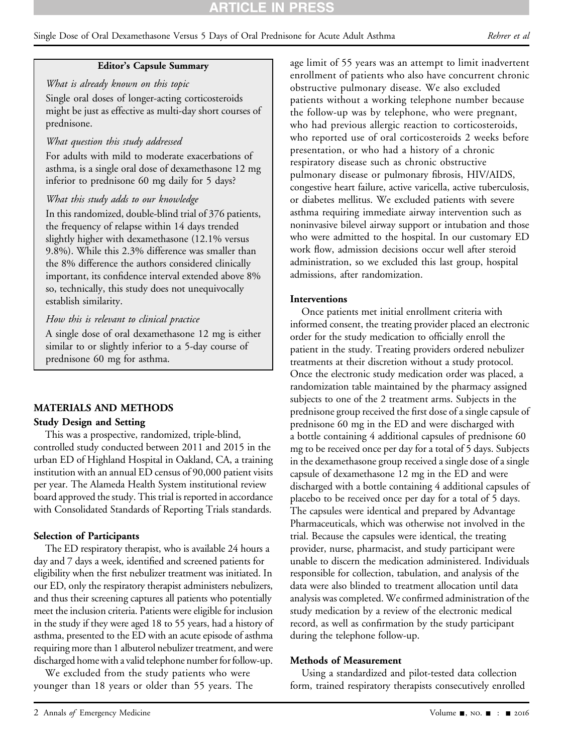# RTICLE IN PRES

## Single Dose of Oral Dexamethasone Versus 5 Days of Oral Prednisone for Acute Adult Asthma Rehrer et al

## Editor's Capsule Summary

What is already known on this topic Single oral doses of longer-acting corticosteroids might be just as effective as multi-day short courses of prednisone.

#### What question this study addressed

For adults with mild to moderate exacerbations of asthma, is a single oral dose of dexamethasone 12 mg inferior to prednisone 60 mg daily for 5 days?

## What this study adds to our knowledge

In this randomized, double-blind trial of 376 patients, the frequency of relapse within 14 days trended slightly higher with dexamethasone (12.1% versus 9.8%). While this 2.3% difference was smaller than the 8% difference the authors considered clinically important, its confidence interval extended above 8% so, technically, this study does not unequivocally establish similarity.

## How this is relevant to clinical practice

A single dose of oral dexamethasone 12 mg is either similar to or slightly inferior to a 5-day course of prednisone 60 mg for asthma.

#### MATERIALS AND METHODS

#### Study Design and Setting

This was a prospective, randomized, triple-blind, controlled study conducted between 2011 and 2015 in the urban ED of Highland Hospital in Oakland, CA, a training institution with an annual ED census of 90,000 patient visits per year. The Alameda Health System institutional review board approved the study. This trial is reported in accordance with Consolidated Standards of Reporting Trials standards.

#### Selection of Participants

The ED respiratory therapist, who is available 24 hours a day and 7 days a week, identified and screened patients for eligibility when the first nebulizer treatment was initiated. In our ED, only the respiratory therapist administers nebulizers, and thus their screening captures all patients who potentially meet the inclusion criteria. Patients were eligible for inclusion in the study if they were aged 18 to 55 years, had a history of asthma, presented to the ED with an acute episode of asthma requiring more than 1 albuterol nebulizer treatment, and were discharged home with a valid telephone number for follow-up.

We excluded from the study patients who were younger than 18 years or older than 55 years. The

age limit of 55 years was an attempt to limit inadvertent enrollment of patients who also have concurrent chronic obstructive pulmonary disease. We also excluded patients without a working telephone number because the follow-up was by telephone, who were pregnant, who had previous allergic reaction to corticosteroids, who reported use of oral corticosteroids 2 weeks before presentation, or who had a history of a chronic respiratory disease such as chronic obstructive pulmonary disease or pulmonary fibrosis, HIV/AIDS, congestive heart failure, active varicella, active tuberculosis, or diabetes mellitus. We excluded patients with severe asthma requiring immediate airway intervention such as noninvasive bilevel airway support or intubation and those who were admitted to the hospital. In our customary ED work flow, admission decisions occur well after steroid administration, so we excluded this last group, hospital admissions, after randomization.

#### Interventions

Once patients met initial enrollment criteria with informed consent, the treating provider placed an electronic order for the study medication to officially enroll the patient in the study. Treating providers ordered nebulizer treatments at their discretion without a study protocol. Once the electronic study medication order was placed, a randomization table maintained by the pharmacy assigned subjects to one of the 2 treatment arms. Subjects in the prednisone group received the first dose of a single capsule of prednisone 60 mg in the ED and were discharged with a bottle containing 4 additional capsules of prednisone 60 mg to be received once per day for a total of 5 days. Subjects in the dexamethasone group received a single dose of a single capsule of dexamethasone 12 mg in the ED and were discharged with a bottle containing 4 additional capsules of placebo to be received once per day for a total of 5 days. The capsules were identical and prepared by Advantage Pharmaceuticals, which was otherwise not involved in the trial. Because the capsules were identical, the treating provider, nurse, pharmacist, and study participant were unable to discern the medication administered. Individuals responsible for collection, tabulation, and analysis of the data were also blinded to treatment allocation until data analysis was completed. We confirmed administration of the study medication by a review of the electronic medical record, as well as confirmation by the study participant during the telephone follow-up.

#### Methods of Measurement

Using a standardized and pilot-tested data collection form, trained respiratory therapists consecutively enrolled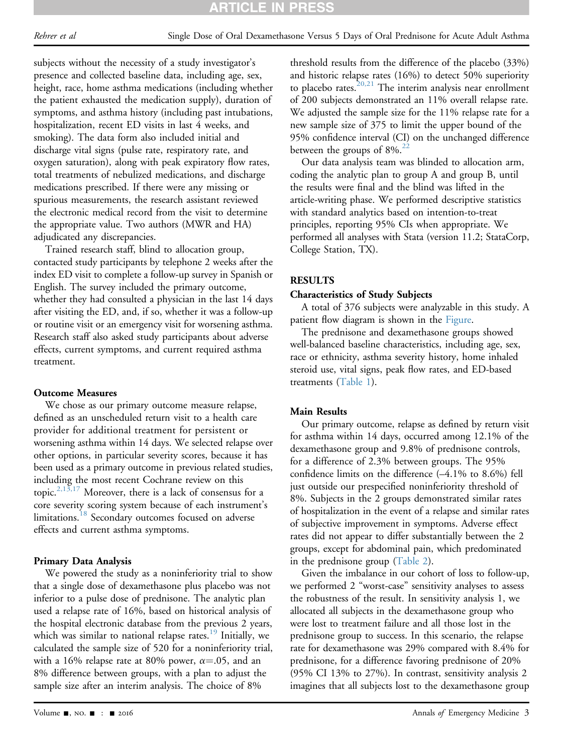subjects without the necessity of a study investigator's presence and collected baseline data, including age, sex, height, race, home asthma medications (including whether the patient exhausted the medication supply), duration of symptoms, and asthma history (including past intubations, hospitalization, recent ED visits in last 4 weeks, and smoking). The data form also included initial and discharge vital signs (pulse rate, respiratory rate, and oxygen saturation), along with peak expiratory flow rates, total treatments of nebulized medications, and discharge medications prescribed. If there were any missing or spurious measurements, the research assistant reviewed the electronic medical record from the visit to determine the appropriate value. Two authors (MWR and HA) adjudicated any discrepancies.

Trained research staff, blind to allocation group, contacted study participants by telephone 2 weeks after the index ED visit to complete a follow-up survey in Spanish or English. The survey included the primary outcome, whether they had consulted a physician in the last 14 days after visiting the ED, and, if so, whether it was a follow-up or routine visit or an emergency visit for worsening asthma. Research staff also asked study participants about adverse effects, current symptoms, and current required asthma treatment.

## Outcome Measures

We chose as our primary outcome measure relapse, defined as an unscheduled return visit to a health care provider for additional treatment for persistent or worsening asthma within 14 days. We selected relapse over other options, in particular severity scores, because it has been used as a primary outcome in previous related studies, including the most recent Cochrane review on this topic.<sup>[2,13,17](#page-5-1)</sup> Moreover, there is a lack of consensus for a core severity scoring system because of each instrument's limitations.<sup>18</sup> Secondary outcomes focused on adverse effects and current asthma symptoms.

## Primary Data Analysis

We powered the study as a noninferiority trial to show that a single dose of dexamethasone plus placebo was not inferior to a pulse dose of prednisone. The analytic plan used a relapse rate of 16%, based on historical analysis of the hospital electronic database from the previous 2 years, which was similar to national relapse rates.<sup>[19](#page-5-9)</sup> Initially, we calculated the sample size of 520 for a noninferiority trial, with a 16% relapse rate at 80% power,  $\alpha = .05$ , and an 8% difference between groups, with a plan to adjust the sample size after an interim analysis. The choice of 8%

threshold results from the difference of the placebo (33%) and historic relapse rates (16%) to detect 50% superiority to placebo rates.<sup>[20,21](#page-5-10)</sup> The interim analysis near enrollment of 200 subjects demonstrated an 11% overall relapse rate. We adjusted the sample size for the 11% relapse rate for a new sample size of 375 to limit the upper bound of the 95% confidence interval (CI) on the unchanged difference between the groups of  $8\%$ <sup>[22](#page-5-11)</sup>

Our data analysis team was blinded to allocation arm, coding the analytic plan to group A and group B, until the results were final and the blind was lifted in the article-writing phase. We performed descriptive statistics with standard analytics based on intention-to-treat principles, reporting 95% CIs when appropriate. We performed all analyses with Stata (version 11.2; StataCorp, College Station, TX).

## RESULTS

## Characteristics of Study Subjects

A total of 376 subjects were analyzable in this study. A patient flow diagram is shown in the [Figure.](#page-3-0)

The prednisone and dexamethasone groups showed well-balanced baseline characteristics, including age, sex, race or ethnicity, asthma severity history, home inhaled steroid use, vital signs, peak flow rates, and ED-based treatments ([Table 1\)](#page-4-0).

## Main Results

Our primary outcome, relapse as defined by return visit for asthma within 14 days, occurred among 12.1% of the dexamethasone group and 9.8% of prednisone controls, for a difference of 2.3% between groups. The 95% confidence limits on the difference (–4.1% to 8.6%) fell just outside our prespecified noninferiority threshold of 8%. Subjects in the 2 groups demonstrated similar rates of hospitalization in the event of a relapse and similar rates of subjective improvement in symptoms. Adverse effect rates did not appear to differ substantially between the 2 groups, except for abdominal pain, which predominated in the prednisone group ([Table 2\)](#page-4-1).

Given the imbalance in our cohort of loss to follow-up, we performed 2 "worst-case" sensitivity analyses to assess the robustness of the result. In sensitivity analysis 1, we allocated all subjects in the dexamethasone group who were lost to treatment failure and all those lost in the prednisone group to success. In this scenario, the relapse rate for dexamethasone was 29% compared with 8.4% for prednisone, for a difference favoring prednisone of 20% (95% CI 13% to 27%). In contrast, sensitivity analysis 2 imagines that all subjects lost to the dexamethasone group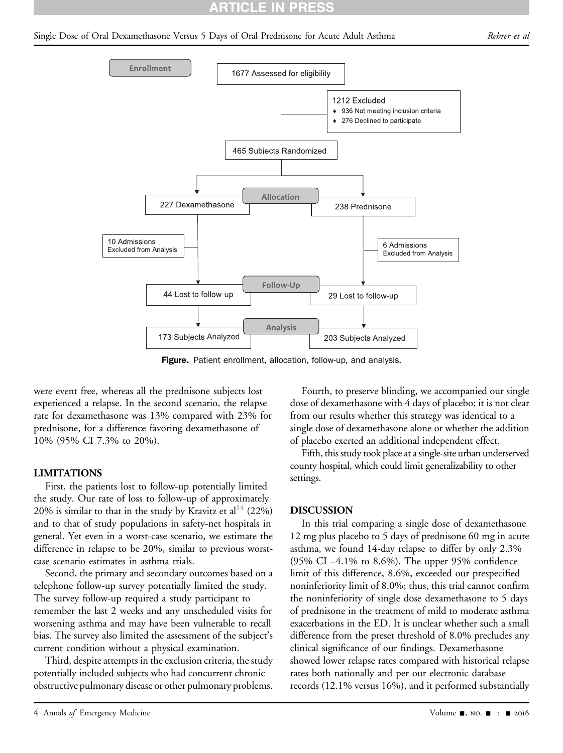## **RTICLE IN PRES**

#### <span id="page-3-0"></span>Single Dose of Oral Dexamethasone Versus 5 Days of Oral Prednisone for Acute Adult Asthma Rehrer et al



Figure. Patient enrollment, allocation, follow-up, and analysis.

were event free, whereas all the prednisone subjects lost experienced a relapse. In the second scenario, the relapse rate for dexamethasone was 13% compared with 23% for prednisone, for a difference favoring dexamethasone of 10% (95% CI 7.3% to 20%).

## LIMITATIONS

First, the patients lost to follow-up potentially limited the study. Our rate of loss to follow-up of approximately 20% is similar to that in the study by Kravitz et al<sup>[14](#page-5-6)</sup> (22%) and to that of study populations in safety-net hospitals in general. Yet even in a worst-case scenario, we estimate the difference in relapse to be 20%, similar to previous worstcase scenario estimates in asthma trials.

Second, the primary and secondary outcomes based on a telephone follow-up survey potentially limited the study. The survey follow-up required a study participant to remember the last 2 weeks and any unscheduled visits for worsening asthma and may have been vulnerable to recall bias. The survey also limited the assessment of the subject's current condition without a physical examination.

Third, despite attempts in the exclusion criteria, the study potentially included subjects who had concurrent chronic obstructive pulmonary disease or other pulmonary problems.

Fourth, to preserve blinding, we accompanied our single dose of dexamethasone with 4 days of placebo; it is not clear from our results whether this strategy was identical to a single dose of dexamethasone alone or whether the addition of placebo exerted an additional independent effect.

Fifth, this study took place at a single-site urban underserved county hospital, which could limit generalizability to other settings.

#### DISCUSSION

In this trial comparing a single dose of dexamethasone 12 mg plus placebo to 5 days of prednisone 60 mg in acute asthma, we found 14-day relapse to differ by only 2.3% (95% CI –4.1% to 8.6%). The upper 95% confidence limit of this difference, 8.6%, exceeded our prespecified noninferiority limit of 8.0%; thus, this trial cannot confirm the noninferiority of single dose dexamethasone to 5 days of prednisone in the treatment of mild to moderate asthma exacerbations in the ED. It is unclear whether such a small difference from the preset threshold of 8.0% precludes any clinical significance of our findings. Dexamethasone showed lower relapse rates compared with historical relapse rates both nationally and per our electronic database records (12.1% versus 16%), and it performed substantially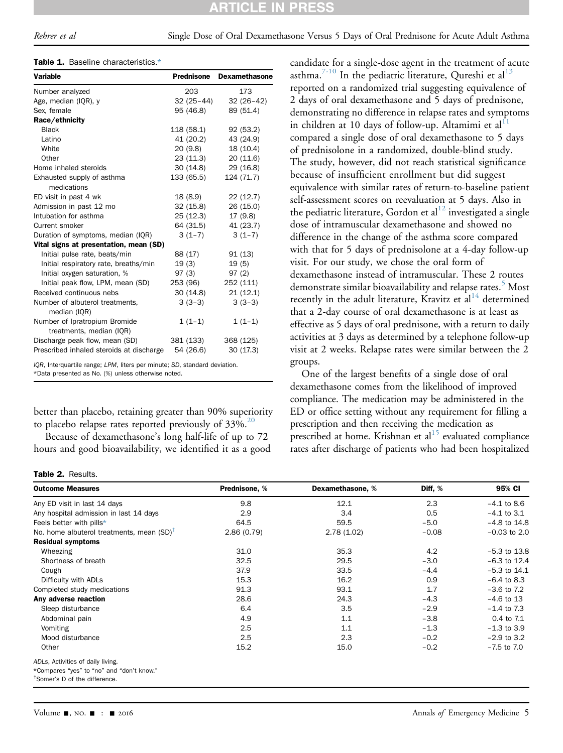#### Table 1. Baseline characteristics[.\\*](#page-4-4)

| <b>Variable</b>                                           | Prednisone  | <b>Dexamethasone</b> |
|-----------------------------------------------------------|-------------|----------------------|
| Number analyzed                                           | 203         | 173                  |
| Age, median (IQR), y                                      | $32(25-44)$ | $32(26-42)$          |
| Sex. female                                               | 95 (46.8)   | 89 (51.4)            |
| Race/ethnicity                                            |             |                      |
| <b>Black</b>                                              | 118 (58.1)  | 92 (53.2)            |
| Latino                                                    | 41 (20.2)   | 43 (24.9)            |
| White                                                     | 20(9.8)     | 18 (10.4)            |
| Other                                                     | 23(11.3)    | 20(11.6)             |
| Home inhaled steroids                                     | 30 (14.8)   | 29 (16.8)            |
| Exhausted supply of asthma<br>medications                 | 133 (65.5)  | 124 (71.7)           |
| ED visit in past 4 wk                                     | 18 (8.9)    | 22(12.7)             |
| Admission in past 12 mo                                   | 32(15.8)    | 26 (15.0)            |
| Intubation for asthma                                     | 25 (12.3)   | 17 (9.8)             |
| Current smoker                                            | 64 (31.5)   | 41 (23.7)            |
| Duration of symptoms, median (IQR)                        | $3(1-7)$    | $3(1-7)$             |
| Vital signs at presentation, mean (SD)                    |             |                      |
| Initial pulse rate, beats/min                             | 88 (17)     | 91(13)               |
| Initial respiratory rate, breaths/min                     | 19(3)       | 19(5)                |
| Initial oxygen saturation, %                              | 97(3)       | 97(2)                |
| Initial peak flow, LPM, mean (SD)                         | 253 (96)    | 252 (111)            |
| Received continuous nebs                                  | 30(14.8)    | 21(12.1)             |
| Number of albuterol treatments,<br>median (IQR)           | $3(3-3)$    | $3(3-3)$             |
| Number of Ipratropium Bromide<br>treatments, median (IQR) | $1(1-1)$    | $1(1-1)$             |
| Discharge peak flow, mean (SD)                            | 381 (133)   | 368 (125)            |
| Prescribed inhaled steroids at discharge                  | 54 (26.6)   | 30(17.3)             |

<span id="page-4-4"></span><span id="page-4-0"></span>IQR, Interquartile range; LPM, liters per minute; SD, standard deviation. \*Data presented as No. (%) unless otherwise noted.

better than placebo, retaining greater than 90% superiority to placebo relapse rates reported previously of  $33\%$ .<sup>[20](#page-5-10)</sup>

Because of dexamethasone's long half-life of up to 72 hours and good bioavailability, we identified it as a good

#### Table 2. Results.

candidate for a single-dose agent in the treatment of acute asthma.<sup>[7-10](#page-5-4)</sup> In the pediatric literature, Qureshi et al<sup>[13](#page-5-12)</sup> reported on a randomized trial suggesting equivalence of 2 days of oral dexamethasone and 5 days of prednisone, demonstrating no difference in relapse rates and symptoms in children at 10 days of follow-up. Altamimi et al<sup>[11](#page-5-5)</sup> compared a single dose of oral dexamethasone to 5 days of prednisolone in a randomized, double-blind study. The study, however, did not reach statistical significance because of insufficient enrollment but did suggest equivalence with similar rates of return-to-baseline patient self-assessment scores on reevaluation at 5 days. Also in the pediatric literature, Gordon et al<sup>[12](#page-5-13)</sup> investigated a single dose of intramuscular dexamethasone and showed no difference in the change of the asthma score compared with that for 5 days of prednisolone at a 4-day follow-up visit. For our study, we chose the oral form of dexamethasone instead of intramuscular. These 2 routes demonstrate similar bioavailability and relapse rates.<sup>[5](#page-5-14)</sup> Most recently in the adult literature, Kravitz et  $al<sup>14</sup>$  $al<sup>14</sup>$  $al<sup>14</sup>$  determined that a 2-day course of oral dexamethasone is at least as effective as 5 days of oral prednisone, with a return to daily activities at 3 days as determined by a telephone follow-up visit at 2 weeks. Relapse rates were similar between the 2 groups.

One of the largest benefits of a single dose of oral dexamethasone comes from the likelihood of improved compliance. The medication may be administered in the ED or office setting without any requirement for filling a prescription and then receiving the medication as prescribed at home. Krishnan et  $al<sup>15</sup>$  $al<sup>15</sup>$  $al<sup>15</sup>$  evaluated compliance rates after discharge of patients who had been hospitalized

| <b>Outcome Measures</b>                               | Prednisone, % | Dexamethasone, % | Diff, % | 95% CI           |
|-------------------------------------------------------|---------------|------------------|---------|------------------|
| Any ED visit in last 14 days                          | 9.8           | 12.1             | 2.3     | $-4.1$ to 8.6    |
| Any hospital admission in last 14 days                | 2.9           | 3.4              | 0.5     | $-4.1$ to 3.1    |
| Feels better with pills*                              | 64.5          | 59.5             | $-5.0$  | $-4.8$ to $14.8$ |
| No. home albuterol treatments, mean (SD) <sup>T</sup> | 2.86(0.79)    | 2.78(1.02)       | $-0.08$ | $-0.03$ to 2.0   |
| <b>Residual symptoms</b>                              |               |                  |         |                  |
| Wheezing                                              | 31.0          | 35.3             | 4.2     | $-5.3$ to 13.8   |
| Shortness of breath                                   | 32.5          | 29.5             | $-3.0$  | $-6.3$ to 12.4   |
| Cough                                                 | 37.9          | 33.5             | $-4.4$  | $-5.3$ to $14.1$ |
| Difficulty with ADLs                                  | 15.3          | 16.2             | 0.9     | $-6.4$ to 8.3    |
| Completed study medications                           | 91.3          | 93.1             | 1.7     | $-3.6$ to $7.2$  |
| Any adverse reaction                                  | 28.6          | 24.3             | $-4.3$  | $-4.6$ to 13     |
| Sleep disturbance                                     | 6.4           | 3.5              | $-2.9$  | $-1.4$ to 7.3    |
| Abdominal pain                                        | 4.9           | 1.1              | $-3.8$  | 0.4 to 7.1       |
| Vomiting                                              | 2.5           | 1.1              | $-1.3$  | $-1.3$ to 3.9    |
| Mood disturbance                                      | 2.5           | 2.3              | $-0.2$  | $-2.9$ to 3.2    |
| Other                                                 | 15.2          | 15.0             | $-0.2$  | $-7.5$ to $7.0$  |
| ADI e Activities of daily living                      |               |                  |         |                  |

<span id="page-4-1"></span>ADLs, Activities of daily living.

<span id="page-4-2"></span>\*Compares "yes" to "no" and "don't know."

<span id="page-4-3"></span>† Somer's D of the difference.